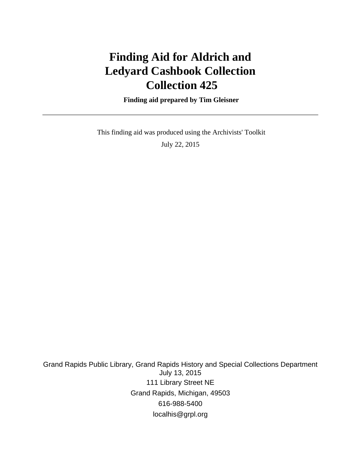# **Finding Aid for Aldrich and Ledyard Cashbook Collection Collection 425**

 **Finding aid prepared by Tim Gleisner**

 This finding aid was produced using the Archivists' Toolkit July 22, 2015

Grand Rapids Public Library, Grand Rapids History and Special Collections Department July 13, 2015 111 Library Street NE Grand Rapids, Michigan, 49503 616-988-5400 localhis@grpl.org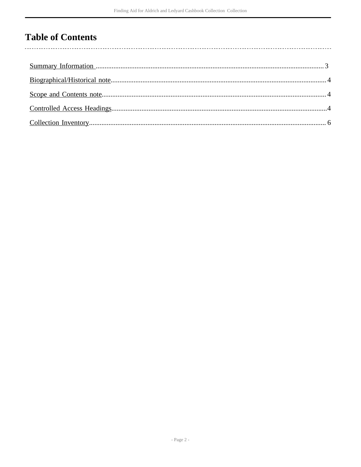### **Table of Contents**

l,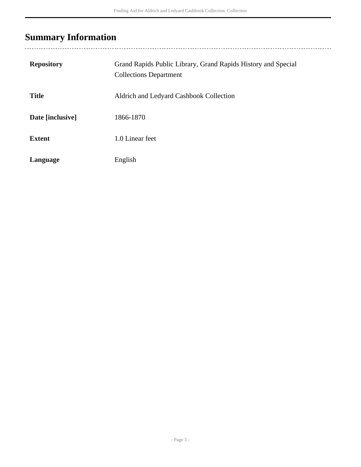# <span id="page-2-0"></span>**Summary Information**

| <b>Repository</b> | Grand Rapids Public Library, Grand Rapids History and Special<br><b>Collections Department</b> |
|-------------------|------------------------------------------------------------------------------------------------|
| <b>Title</b>      | Aldrich and Ledyard Cashbook Collection                                                        |
| Date [inclusive]  | 1866-1870                                                                                      |
| <b>Extent</b>     | 1.0 Linear feet                                                                                |
| Language          | English                                                                                        |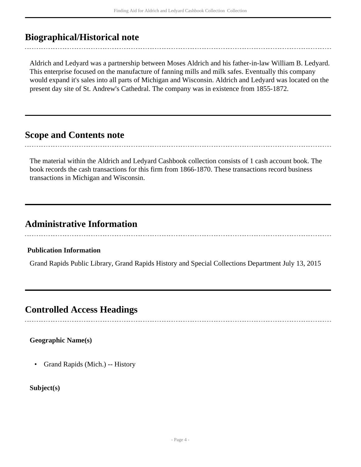### <span id="page-3-0"></span>**Biographical/Historical note**

Aldrich and Ledyard was a partnership between Moses Aldrich and his father-in-law William B. Ledyard. This enterprise focused on the manufacture of fanning mills and milk safes. Eventually this company would expand it's sales into all parts of Michigan and Wisconsin. Aldrich and Ledyard was located on the present day site of St. Andrew's Cathedral. The company was in existence from 1855-1872.

#### <span id="page-3-1"></span>**Scope and Contents note**

The material within the Aldrich and Ledyard Cashbook collection consists of 1 cash account book. The book records the cash transactions for this firm from 1866-1870. These transactions record business transactions in Michigan and Wisconsin.

### **Administrative Information**

#### **Publication Information**

Grand Rapids Public Library, Grand Rapids History and Special Collections Department July 13, 2015

### <span id="page-3-2"></span>**Controlled Access Headings**

**Geographic Name(s)**

• Grand Rapids (Mich.) -- History

**Subject(s)**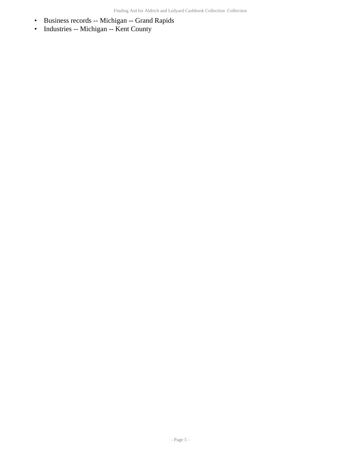- Business records -- Michigan -- Grand Rapids
- Industries -- Michigan -- Kent County